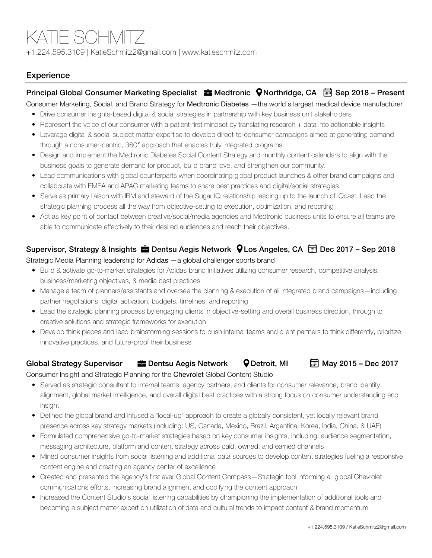# KATIE SCHMITZ

+1.224.595.3109 | KatieSchmitz2@gmail.com | www.katieschmitz.com

# **Experience**

## Principal Global Consumer Marketing Specialist  $\frac{1}{2}$  Medtronic  $\bigcirc$  Northridge, CA  $\bigcirc$  Sep 2018 – Present

Consumer Marketing, Social, and Brand Strategy for Medtronic Diabetes —the world's largest medical device manufacturer

- Drive consumer insights-based digital & social strategies in partnership with key business unit stakeholders
- Represent the voice of our consumer with a patient-first mindset by translating research + data into actionable insights
- Leverage digital & social subject matter expertise to develop direct-to-consumer campaigns aimed at generating demand through a consumer-centric, 360° approach that enables truly integrated programs.
- Design and implement the Medtronic Diabetes Social Content Strategy and monthly content calendars to align with the business goals to generate demand for product, build brand love, and strengthen our community.
- Lead communications with global counterparts when coordinating global product launches & other brand campaigns and collaborate with EMEA and APAC marketing teams to share best practices and digital/social strategies.
- Serve as primary liaison with IBM and steward of the Sugar.IQ relationship leading up to the launch of IQcast. Lead the strategic planning process all the way from objective-setting to execution, optimization, and reporting
- Act as key point of contact between creative/social/media agencies and Medtronic business units to ensure all teams are able to communicate effectively to their desired audiences and reach their objectives.

# Supervisor, Strategy & Insights **E** Dentsu Aegis Network **Q** Los Angeles, CA **Dec 2017** - Sep 2018

#### Strategic Media Planning leadership for Adidas —a global challenger sports brand

- Build & activate go-to-market strategies for Adidas brand initiatives utilizing consumer research, competitive analysis, business/marketing objectives, & media best practices
- Manage a team of planners/assistants and oversee the planning & execution of all integrated brand campaigns—including partner negotiations, digital activation, budgets, timelines, and reporting
- Lead the strategic planning process by engaging clients in objective-setting and overall business direction, through to creative solutions and strategic frameworks for execution
- Develop think pieces and lead brainstorming sessions to push internal teams and client partners to think differently, prioritize innovative practices, and future-proof their business

#### Global Strategy Supervisor  $\blacksquare$  Dentsu Aegis Network  $\lozenge$  Detroit, MI  $\blacksquare$  May 2015 – Dec 2017

#### Consumer Insight and Strategic Planning for the Chevrolet Global Content Studio

- Served as strategic consultant to internal teams, agency partners, and clients for consumer relevance, brand identity alignment, global market intelligence, and overall digital best practices with a strong focus on consumer understanding and insight
- Defined the global brand and infused a "local-up" approach to create a globally consistent, yet locally relevant brand presence across key strategy markets (including: US, Canada, Mexico, Brazil, Argentina, Korea, India, China, & UAE)
- Formulated comprehensive go-to-market strategies based on key consumer insights, including: audience segmentation, messaging architecture, platform and content strategy across paid, owned, and earned channels
- Mined consumer insights from social listening and additional data sources to develop content strategies fueling a responsive content engine and creating an agency center of excellence
- Created and presented the agency's first ever Global Content Compass—Strategic tool informing all global Chevrolet communications efforts, increasing brand alignment and codifying the content approach
- Increased the Content Studio's social listening capabilities by championing the implementation of additional tools and becoming a subject matter expert on utilization of data and cultural trends to impact content & brand momentum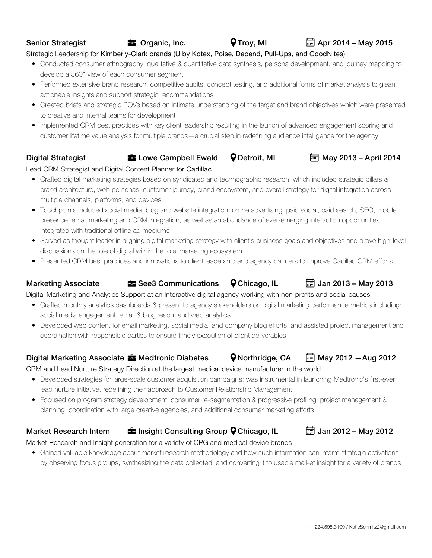## Strategic Leadership for Kimberly-Clark brands (U by Kotex, Poise, Depend, Pull-Ups, and GoodNites)

- Conducted consumer ethnography, qualitative & quantitative data synthesis, persona development, and journey mapping to develop a 360° view of each consumer segment
- Performed extensive brand research, competitive audits, concept testing, and additional forms of market analysis to glean actionable insights and support strategic recommendations
- Created briefs and strategic POVs based on intimate understanding of the target and brand objectives which were presented to creative and internal teams for development
- Implemented CRM best practices with key client leadership resulting in the launch of advanced engagement scoring and customer lifetime value analysis for multiple brands—a crucial step in redefining audience intelligence for the agency

#### Digital Strategist **External Detroit, MI** May 2013 – April 2014

#### Lead CRM Strategist and Digital Content Planner for Cadillac

- Crafted digital marketing strategies based on syndicated and technographic research, which included strategic pillars & brand architecture, web personas, customer journey, brand ecosystem, and overall strategy for digital integration across multiple channels, platforms, and devices
- Touchpoints included social media, blog and website integration, online advertising, paid social, paid search, SEO, mobile presence, email marketing and CRM integration, as well as an abundance of ever-emerging interaction opportunities integrated with traditional offline ad mediums
- Served as thought leader in aligning digital marketing strategy with client's business goals and objectives and drove high-level discussions on the role of digital within the total marketing ecosystem
- Presented CRM best practices and innovations to client leadership and agency partners to improve Cadillac CRM efforts

# Marketing Associate  $\frac{1}{2}$  See3 Communications  $\frac{1}{2}$  Chicago, IL  $\frac{1}{2}$  Jan 2013 – May 2013

Digital Marketing and Analytics Support at an Interactive digital agency working with non-profits and social causes

- Crafted monthly analytics dashboards & present to agency stakeholders on digital marketing performance metrics including: social media engagement, email & blog reach, and web analytics
- Developed web content for email marketing, social media, and company blog efforts, and assisted project management and coordination with responsible parties to ensure timely execution of client deliverables

# Digital Marketing Associate **Medicial School Containslland Container**  $\bullet$  Northridge, CA  $\Box$  May 2012  $-$  Aug 2012

CRM and Lead Nurture Strategy Direction at the largest medical device manufacturer in the world

- Developed strategies for large-scale customer acquisition campaigns; was instrumental in launching Medtronic's first-ever lead nurture initiative, redefining their approach to Customer Relationship Management
- Focused on program strategy development, consumer re-segmentation & progressive profiling, project management & planning, coordination with large creative agencies, and additional consumer marketing efforts

# Market Research Intern  $\frac{1}{2}$  Insight Consulting Group  $\bullet$  Chicago, IL  $\Box$  Jan 2012 – May 2012

### Market Research and Insight generation for a variety of CPG and medical device brands

• Gained valuable knowledge about market research methodology and how such information can inform strategic activations by observing focus groups, synthesizing the data collected, and converting it to usable market insight for a variety of brands



Senior Strategist **Senior Strategist Senior Strategist C** Organic, Inc. **C** Troy, MI **Apr 2014 – May 2015**